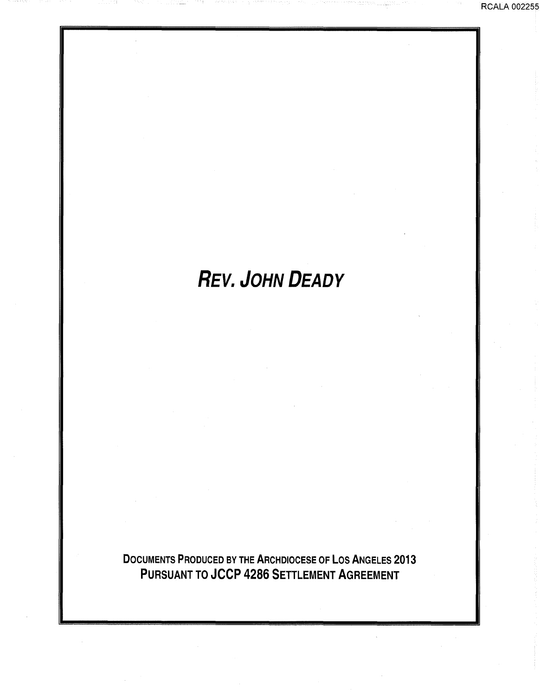# **REV. JOHN DEADY**

DOCUMENTS PRODUCED BY THE ARCHDIOCESE OF LOS ANGELES 2013 PURSUANT TO JCCP 4286 SETTLEMENT AGREEMENT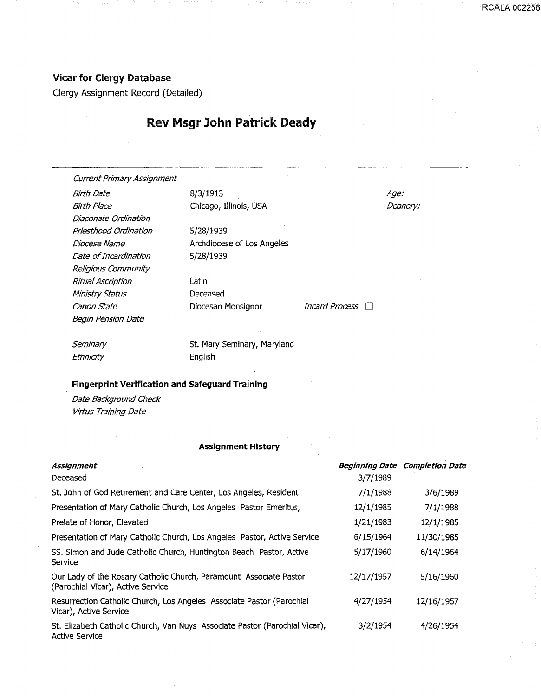## Vicar for Clergy Database

Clergy Assignment Record (Detailed)

# Rev Msgr John Patrick Deady

Current Primary Assignment

Birth Date 8/3/1913 Birth Place Chicago, Illinois, USA Diaconate Ordination Priesthood Ordination Diocese Name Date of Incardination Religious Community Ritual Ascription Ministry Status Canon State **Canon State** Diocesan Monsignor *Incard Process* Begin Pension Date

5/28/1939 Archdiocese of Los Angeles 5/28/1939

Latin Deceased

Age: Deanery: RCALA 002256

**Seminary Ethnicity** 

St. Mary Seminary, Maryland English

### Fingerprint Verification and Safeguard Training

Date Background Check Virtus Training Date

#### Assignment History

| Assignment<br>Deceased                                                                                  | 3/7/1989   | <b>Beginning Date Completion Date</b> |
|---------------------------------------------------------------------------------------------------------|------------|---------------------------------------|
| St. John of God Retirement and Care Center, Los Angeles, Resident                                       | 7/1/1988   | 3/6/1989                              |
| Presentation of Mary Catholic Church, Los Angeles Pastor Emeritus,                                      | 12/1/1985  | 7/1/1988                              |
| Prelate of Honor, Elevated                                                                              | 1/21/1983  | 12/1/1985                             |
| Presentation of Mary Catholic Church, Los Angeles Pastor, Active Service                                | 6/15/1964  | 11/30/1985                            |
| SS. Simon and Jude Catholic Church, Huntington Beach Pastor, Active<br>Service                          | 5/17/1960  | 6/14/1964                             |
| Our Lady of the Rosary Catholic Church, Paramount Associate Pastor<br>(Parochial Vicar), Active Service | 12/17/1957 | 5/16/1960                             |
| Resurrection Catholic Church, Los Angeles Associate Pastor (Parochial<br>Vicar), Active Service         | 4/27/1954  | 12/16/1957                            |
| St. Elizabeth Catholic Church, Van Nuys Associate Pastor (Parochial Vicar),<br><b>Active Service</b>    | 3/2/1954   | 4/26/1954                             |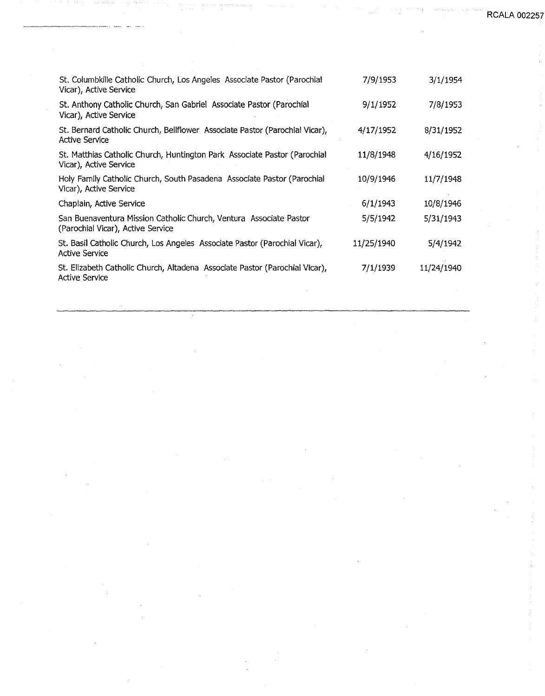| St. Columbkille Catholic Church, Los Angeles Associate Pastor (Parochial<br>Vicar), Active Service      | 7/9/1953   | 3/1/1954   |
|---------------------------------------------------------------------------------------------------------|------------|------------|
| St. Anthony Catholic Church, San Gabriel Associate Pastor (Parochial<br>Vicar), Active Service          | 9/1/1952   | 7/8/1953   |
| St. Bernard Catholic Church, Bellflower Associate Pastor (Parochial Vicar),<br>Active Service           | 4/17/1952  | 8/31/1952  |
| St. Matthias Catholic Church, Huntington Park Associate Pastor (Parochial<br>Vicar), Active Service     | 11/8/1948  | 4/16/1952  |
| Holy Family Catholic Church, South Pasadena Associate Pastor (Parochial<br>Vicar), Active Service       | 10/9/1946  | 11/7/1948  |
| Chaplain, Active Service                                                                                | 6/1/1943   | 10/8/1946  |
| San Buenaventura Mission Catholic Church, Ventura Associate Pastor<br>(Parochial Vicar), Active Service | 5/5/1942   | 5/31/1943  |
| St. Basil Catholic Church, Los Angeles Associate Pastor (Parochial Vicar),<br><b>Active Service</b>     | 11/25/1940 | 5/4/1942   |
| St. Elizabeth Catholic Church, Altadena Associate Pastor (Parochial Vicar),<br><b>Active Service</b>    | 7/1/1939   | 11/24/1940 |
|                                                                                                         |            |            |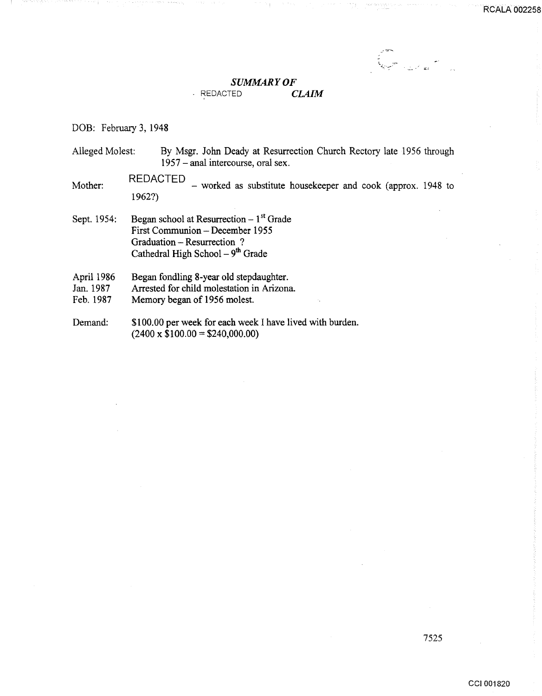# *SUMMARY OF*

## REDACTED *CLAIM*

DOB: February 3, 1948

Alleged Molest: By Msgr. John Deady at Resurrection Church Rectory late 1956 through 1957 -anal intercourse, oral sex.

 $REDACTED$  - worked as substitute housekeeper and cook (approx. 1948 to 1962?)

Sept. 1954: Began school at Resurrection  $-1<sup>st</sup>$  Grade First Communion- December 1955 Graduation- Resurrection ? Cathedral High School  $-9<sup>th</sup>$  Grade

April 1986 Began fondling 8-year old stepdaughter.

Jan. 1987 Arrested for child molestation in Arizona.

Feb. 1987 Memory began of 1956 molest.

Demand: \$100.00 per week for each week I have lived with burden.  $(2400 \times $100.00 = $240,000.00)$ 

7525

...: \_\_ • J;;;.l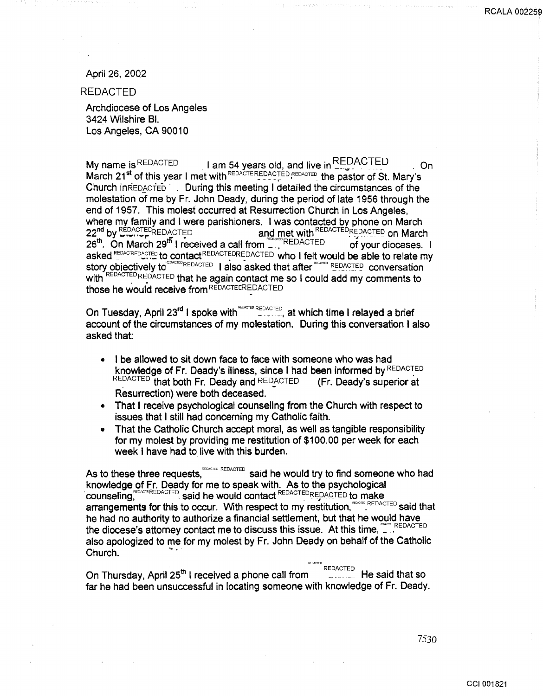#### April 26, 2002

REDACTED

Archdiocese of Los Angeles 3424 Wilshire Bl. Los Angeles, CA 90010

My name is REDACTED I am 54 years old, and live in  $\frac{\text{REDAU}}{\text{SUSU}}$  . On March 21<sup>st</sup> of this year I met with REDACTEREDACTED REDACTED the pastor of St. Mary's Church inREDACTED . During this meeting I detailed the circumstances of the molestation of me by Fr. John Deady, during the period of late 1956 through the end of 1957. This molest occurred at Resurrection Church in Los Angeles, where my family and I were parishioners. I was contacted by phone on March<br>22<sup>nd</sup> by **EDACTED ACTED**<br>22<sup>nd</sup> by **EDACTED** ACTED and met with REDACTED REDACTED on March  $26<sup>th</sup>$ . On March  $29<sup>th</sup>$  I received a call from  $REDACTED$  of your dioceses. I asked REDACREDACTED to contact REDACTEDREDACTED who I felt would be able to relate my story objectively to **EDACTED REDACTED** I also asked that after **EXACTED** conversation with REDACTED REDACTED that he again contact me so I could add my comments to those he would receive from REDACTECREDACTED

On Tuesday, April 23<sup>rd</sup> I spoke with  $R_{\text{EVALU}}^{REDACTED}$ , at which time I relayed a brief account of the circumstances of my molestation. During this conversation I also asked that:

- I be allowed to sit down face to face with someone who was had knowledge of Fr. Deady's illness, since I had been informed by REDACTED  $REDACTED$  that both Fr. Deady and  $REDACTED$  (Fr. Deady's superior at Resurrection) were both deceased.
- That I receive psychological counseling from the Church with respect to issues that I still had concerning my Catholic faith.
- That the Catholic Church accept moral, as well as tangible responsibility for my molest by providing me restitution of \$100.00 per week for each week I have had to live with this burden.

As to these three requests,<sup>REDACTED</sup> said he would try to find someone who had knowledge of Fr. Deady for me to speak with. As to the psychological COUNSeling<sup>reDACTED</sup> said he would contact REDACTED REDACTED to make arrangements for this to occur. With respect to my restitution, REDACTED said that he had no authority to authorize a financial settlement, but that he would have the diocese's attorney contact me to discuss this issue. At this time,  $\Box$ also apologized to me for my molest by Fr. John Deady on behalf of the Catholic Church.

REDACTED<br> **He said that so** On Thursday, April 25<sup>th</sup> I received a phone call from far he had been unsuccessful in locating someone with knowledge of Fr. Deady.

7530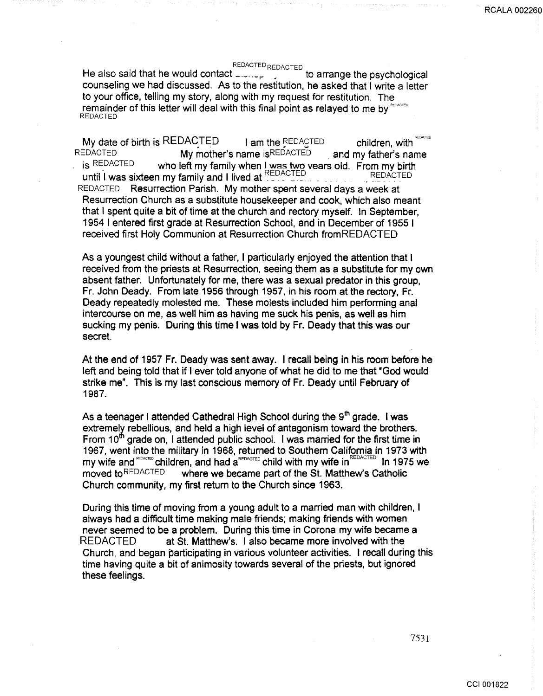## REDACTED REDACTED

He also said that he would contact  $\text{I.}\ldots\text{I.}$   $\text{I.}\ldots\text{I.}$  to arrange the psychological counseling we had discussed. As to the restitution, he asked that I write a letter to your office, telling my story, along with my request for restitution. The remainder of this letter will deal with this final point as relayed to me by REDAC REDACTED

My date of birth is REDACTED  $\blacksquare$  I am the REDACTED children, with REDACTED **My mother's name is REDACTED** and my father's name is REDACTED **.** and my father's name who left my family when I was two vears old. From my birth until I was sixteen my family and I lived at  $\frac{REDACTED}{PEDACTED}$ REDACTED Resurrection Parish. My mother spent several days a week at Resurrection Church as a substitute housekeeper and cook, which also meant that I spent quite a bit of time at the church and rectory myself. In September, 1954 I entered first grade at Resurrection School, and in December of 1955 1 received first Holy Communion at Resurrection Church fromREDACTED

As a youngest child without a father, I particularly enjoyed the attention that 1 received from the priests at Resurrection, seeing them as a substitute for my own absent father. Unfortunately for me, there was a sexual predator in this group, Fr. John Deady. From late 1956 through 1957, in his room at the rectory, Fr. Deady repeatedly molested me. These molests included him performing anal intercourse on me, as well him as having me suck his penis, as well as him sucking my penis. During this time I was told by Fr. Deady that this was our secret.

At the end of 1957 Fr. Deady was sent away. I recall being in his room before he left and being told that if I ever told anyone of what he did to me that "God would" strike me". This is my last conscious memory of Fr. Deady until February of 1987.

As a teenager I attended Cathedral High School during the  $9<sup>th</sup>$  grade. I was extremely rebellious, and held a high level of antagonism toward the brothers. From 10<sup>th</sup> grade on, I attended public school. I was married for the first time in 1967, went into the military in 1968, returned to Southern California in 1973 with my wife and REDACTED children, and had a REDACTED child with my wife in REDACTED In 1975 we moved to REDACTED where we became part of the St. Matthew's Catholic Church community, my first return to the Church since 1963.

During this time of moving from a young adult to a married man with children, I always had a difficult time making male friends; making friends with women never seemed to be a problem. During this time in Corona my wife became a REDACTED at St. Matthew's. I also became more involved with the Church, and began participating in various volunteer activities. I recall during this time having quite a bit of animosity towards several of the priests, but ignored these feelings.

7531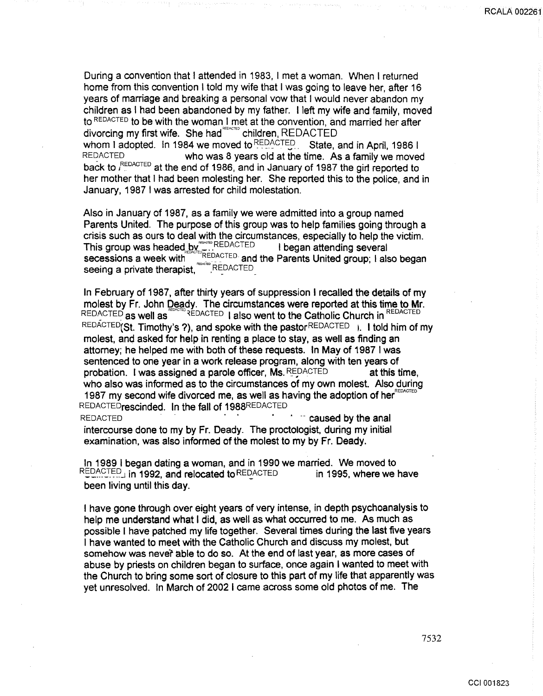**RCALA 00226** 

During a convention that I attended in 1983, I met a woman. When I returned home from this convention I told my wife that I was going to leave her, after 16 years of marriage and breaking a personal vow that I would never abandon my children as I had been abandoned by my father. I left my wife and family, moved to REDAcTED to be with the woman I met at the convention, and married her after divorcing my first wife. She had<sup>rencred</sup> children, REDACTED whom I adopted. In 1984 we moved to  $REDACTED$ . State, and in April, 1986 I REDACTED who was 8 years old at the time. As a family we moved back to <sup>REDACTED</sup> at the end of 1986, and in January of 1987 the girt reported to her mother that I had been molesting her. She reported this to the police, and in January, 1987 I was arrested for child molestation.

Also in January of 1987, as a family we were admitted into a group named Parents United. The purpose of this group was to help families going through a crisis such as ours to deal with the circumstances, especially to help the victim. This group was headed by ETREDACTED **I** began attending several secessions a week with  $\Box$ <sup>REDACTED</sup> and the Parents United group; I also began seeing a private therapist, **EDACTED** 

In February of 1987, after thirty years of suppression I recalled the details of my molest by Fr. John Deady. The circumstances were reported at this time to Mr. REDACTED as well as **REDACTED** I also went to the Catholic Church in REDACTED REDACTED (St. Timothy's ?), and spoke with the pastor REDACTED  $\mu$ . I told him of my molest, and asked for help in renting a place to stay, as well as finding an attorney; he helped me with both of these requests. In May of 1987 I was sentenced to one year in a work release program, along with ten years of probation. I was assigned a parole officer, Ms. REDACTED at this time, who also was informed as to the circumstances of my own molest. Also during 1987 my second wife divorced me, as well as having the adoption of her $<sup>R</sup>$ </sup> REDACTEDrescinded. In the fall of 1988REDACTED REDACTED **EXECUTED** *CONSTRUCTED CONSTRUCTED CAUSED CONSTRUCTED* 

intercourse done to my by Fr. Deady. The proctologist, during my initial examination, was also informed of the molest to my by Fr. Deady.

In 1989 I began dating a woman, and in 1990 we married. We moved to REDACTED in 1992, and relocated to REDACTED in 1995, where we have been living until this day.

I have gone through over eight years of very intense, in depth psychoanalysis to help me understand what I did, as well as what occurred to me. As much as possible I have patched my life together. Several times during the last five years I have wanted to meet with the Catholic Church and discuss my molest, but somehow was never able to do so. At the end of last year, as more cases of abuse by priests on children began to surface, once again I wanted to meet with the Church to bring some sort of closure to this part of my life that apparently was yet unresolved. In March of 2002 I came across some old photos of me. The

7532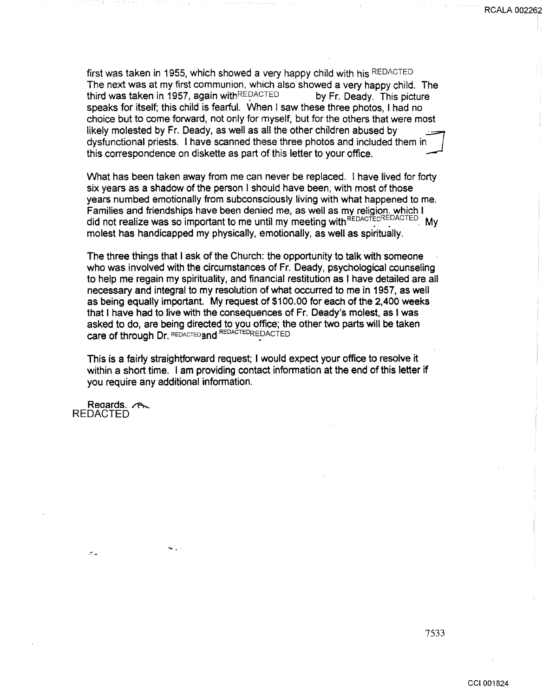first was taken in 1955, which showed a very happy child with his REDACTED The next was at my first communion, which also showed a very happy child. The third was taken in 1957, again with **REDACTED** by Fr. Deady. This picture speaks for itself; this child is fearful. When I saw these three photos, I had no choice but to come forward, not only for myself, but for the others that were most likely molested by Fr. Deady, as well as all the other children abused by dysfunctional priests. I have scanned these three photos and included them in this correspondence on diskette as part of this letter to your office.

What has been taken away from me can never be replaced. I have lived for forty six years as a shadow of the person I should have been, with most of those years numbed emotionally from subconsciously living with what happened to me. Families and friendships have been denied me, as well as my religion. which I did not realize was so important to me until my meeting with REDACTED My molest has handicapped my physically, emotionally, as well as spiritually.

The three things that I ask of the Church: the opportunity to talk with someone who was involved with the circumstances of Fr. Deady, psychological counseling to help me regain my spirituality, and financial restitution as I have detailed are all necessary and integral to my resolution of what occurred to me in 1957, as well as being equally important. My request of \$100.00 for each of the 2,400 weeks that I have had to live with the consequences of Fr. Deady's molest, as I was asked to do, are being directed to you office; the other two parts will be taken care of through Dr. REDACTED and REDACTED REDACTED

This is a fairly straightforward request; I would expect your office to resolve it within a short time. I am providing contact information at the end of this letter if you require any additional information.

Reaards.  $\curvearrowright$ REDACTED

 $\mathcal{L}_{\mathcal{A}}$ 

<sup>~</sup>..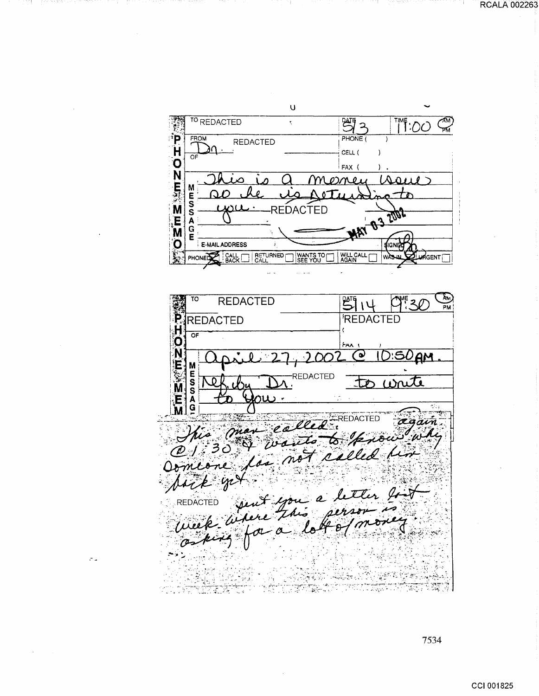$\cup$ 野2  $\frac{1}{2}$ TO REDACTED  $\tilde{\zeta}$ ī **※102m×2020** FROM PHONE ( **REDACTED** CELL (  $\,$   $\,$  $\overline{or}$ FAX ( W erne ani s m M E<br>S<br>S **03 Tob2** REDACTED Á<br>G<br>E **MAT** E-MAIL ADDRESS  $\mathbf{z}$ ÍGN PHONED BACK RETURNED WILL CALL<br>AGAIN WANTS TO n4GENT∫ **PM REDACTED**  $\sqrt{2^{15}}$  14  $C^*30$ TO 繁白 **REDACTED REDACTED NONEWER** ÖF Faa  $\bullet$ <u>АМ</u> **MESSAG** REDACTED citer de la fait de again - ge ફેન*ો* aj es ŷ in s والمجاور المناسبة<br>وبالمواطنين ا <del>محمود مرحلة و مرد</del> ويردد.<br>۴ الكون بي سال الله ال - 13 24 **THE RE** i di Landi ù 4

 $\sigma_{\rm eff}$ 

7534